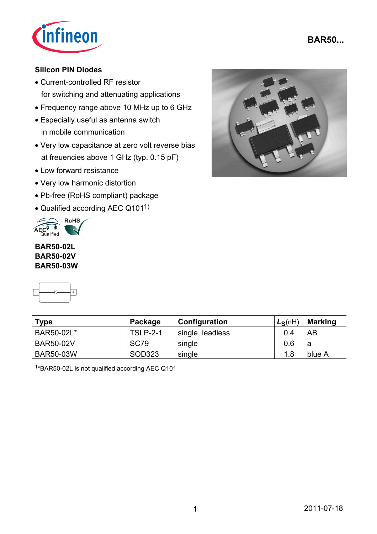



### **Silicon PIN Diodes**

- Current-controlled RF resistor for switching and attenuating applications
- Frequency range above 10 MHz up to 6 GHz
- Especially useful as antenna switch in mobile communication
- Very low capacitance at zero volt reverse bias at freuencies above 1 GHz (typ. 0.15 pF)
- Low forward resistance
- Very low harmonic distortion
- Pb-free (RoHS compliant) package
- Qualified according AEC Q1011)



#### **BAR50-02L BAR50-02V BAR50-03W**



| <b>Type</b><br>Package |                 | Configuration    | $L_S(nH)$ | Marking |  |
|------------------------|-----------------|------------------|-----------|---------|--|
| BAR50-02L*             | <b>TSLP-2-1</b> | single, leadless | 0.4       | AB      |  |
| <b>BAR50-02V</b>       | <b>SC79</b>     | single           | 0.6       | а       |  |
| <b>BAR50-03W</b>       | SOD323          | single           | 1.8       | blue A  |  |

1\*BAR50-02L is not qualified according AEC Q101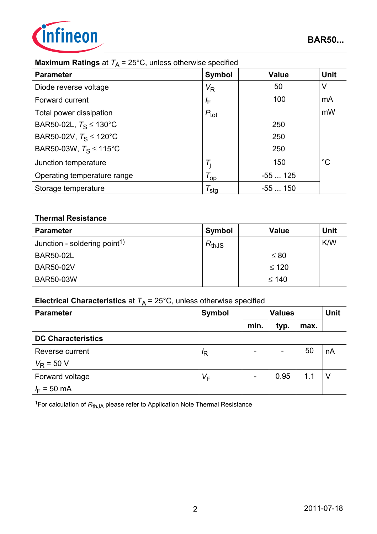

## **Maximum Ratings** at  $T_A = 25^{\circ}$ C, unless otherwise specified

| ັ<br>$\sqrt{ }$                    |                       |              |             |
|------------------------------------|-----------------------|--------------|-------------|
| <b>Parameter</b>                   | <b>Symbol</b>         | <b>Value</b> | <b>Unit</b> |
| Diode reverse voltage              | $V_{\mathsf{R}}$      | 50           | V           |
| Forward current                    | ΙF                    | 100          | mA          |
| Total power dissipation            | $P_{\text{tot}}$      |              | mW          |
| BAR50-02L, $T_S \le 130^{\circ}$ C |                       | 250          |             |
| BAR50-02V, $T_S \le 120^{\circ}$ C |                       | 250          |             |
| BAR50-03W, $T_S \le 115^{\circ}$ C |                       | 250          |             |
| Junction temperature               |                       | 150          | $^{\circ}C$ |
| Operating temperature range        | $\tau_{\mathsf{op}}$  | $-55125$     |             |
| Storage temperature                | $\tau_{\textsf{stg}}$ | $-55150$     |             |

#### **Thermal Resistance**

| <b>Parameter</b>                         | Symbol     | <b>Value</b> | <b>Unit</b> |
|------------------------------------------|------------|--------------|-------------|
| Junction - soldering point <sup>1)</sup> | $R_{thJS}$ |              | K/W         |
| <b>BAR50-02L</b>                         |            | $\leq 80$    |             |
| <b>BAR50-02V</b>                         |            | $\leq 120$   |             |
| <b>BAR50-03W</b>                         |            | $\leq 140$   |             |

## **Electrical Characteristics** at  $T_A = 25^{\circ}$ C, unless otherwise specified

| <b>Parameter</b>          | <b>Symbol</b> | <b>Values</b>            |                          |      | <b>Unit</b> |
|---------------------------|---------------|--------------------------|--------------------------|------|-------------|
|                           |               | min.                     | typ.                     | max. |             |
| <b>DC Characteristics</b> |               |                          |                          |      |             |
| Reverse current           | $\sqrt{R}$    |                          | $\overline{\phantom{a}}$ | 50   | nA          |
| $V_R$ = 50 V              |               |                          |                          |      |             |
| Forward voltage           | $V_F$         | $\overline{\phantom{a}}$ | 0.95                     | 1.1  |             |
| $I_F = 50$ mA             |               |                          |                          |      |             |

<sup>1</sup>For calculation of R<sub>thJA</sub> please refer to Application Note Thermal Resistance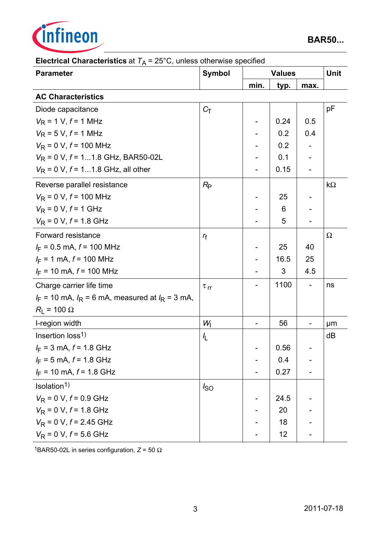

| <b>Parameter</b>                                       | <b>Symbol</b>        |      | <b>Values</b> |      | <b>Unit</b> |
|--------------------------------------------------------|----------------------|------|---------------|------|-------------|
|                                                        |                      | min. | typ.          | max. |             |
| <b>AC Characteristics</b>                              |                      |      |               |      |             |
| Diode capacitance                                      | $C_T$                |      |               |      | pF          |
| $V_R$ = 1 V, $f$ = 1 MHz                               |                      |      | 0.24          | 0.5  |             |
| $V_R$ = 5 V, $f$ = 1 MHz                               |                      |      | 0.2           | 0.4  |             |
| $V_R$ = 0 V, $f$ = 100 MHz                             |                      |      | 0.2           |      |             |
| $V_R$ = 0 V, $f$ = 11.8 GHz, BAR50-02L                 |                      |      | 0.1           |      |             |
| $V_R$ = 0 V, $f$ = 11.8 GHz, all other                 |                      |      | 0.15          |      |             |
| Reverse parallel resistance                            | $R_{\rm P}$          |      |               |      | $k\Omega$   |
| $V_R$ = 0 V, $f$ = 100 MHz                             |                      |      | 25            |      |             |
| $V_R = 0 V, f = 1 GHz$                                 |                      |      | 6             |      |             |
| $V_R$ = 0 V, $f$ = 1.8 GHz                             |                      |      | 5             |      |             |
| Forward resistance                                     | $r_{\rm f}$          |      |               |      | Ω           |
| $I_F = 0.5$ mA, $f = 100$ MHz                          |                      |      | 25            | 40   |             |
| $I_F = 1$ mA, $f = 100$ MHz                            |                      |      | 16.5          | 25   |             |
| $I_F$ = 10 mA, $f$ = 100 MHz                           |                      |      | 3             | 4.5  |             |
| Charge carrier life time                               | $\tau$ <sub>rr</sub> |      | 1100          |      | ns          |
| $I_F$ = 10 mA, $I_R$ = 6 mA, measured at $I_R$ = 3 mA, |                      |      |               |      |             |
| $R_{L}$ = 100 $\Omega$                                 |                      |      |               |      |             |
| I-region width                                         | $W_1$                |      | 56            |      | μm          |
| Insertion $loss1$                                      | $\frac{1}{2}$        |      |               |      | dB          |
| $I_F$ = 3 mA, $f$ = 1.8 GHz                            |                      |      | 0.56          |      |             |
| $I_F = 5$ mA, $f = 1.8$ GHz                            |                      |      | 0.4           |      |             |
| $I_F$ = 10 mA, $f$ = 1.8 GHz                           |                      |      | 0.27          |      |             |
| Isolation <sup>1)</sup>                                | $I_{SO}$             |      |               |      |             |
| $V_{\rm R}$ = 0 V, $f$ = 0.9 GHz                       |                      |      | 24.5          |      |             |
| $V_R$ = 0 V, $f$ = 1.8 GHz                             |                      |      | 20            |      |             |
| $V_R$ = 0 V, $f$ = 2.45 GHz                            |                      |      | 18            |      |             |
| $V_R$ = 0 V, $f$ = 5.6 GHz                             |                      |      | 12            |      |             |

## **Electrical Characteristics at**  $T_A = 25^{\circ}$ **C**, unless otherwise specified

<sup>1</sup>BAR50-02L in series configuration,  $Z = 50$  Ω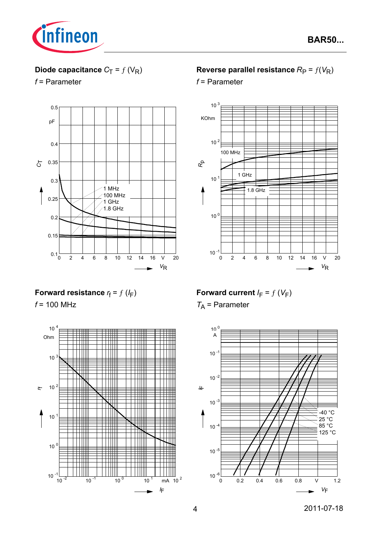

# **Diode capacitance**  $C_T = f(V_R)$

### *f* = Parameter



## **Reverse parallel resistance**  $R_P = f(V_R)$

*f* = Parameter



### **Forward resistance**  $r_f = f(l_F)$

*f* = 100 MHz



# **Forward current**  $I_F = f(V_F)$

*T*A = Parameter

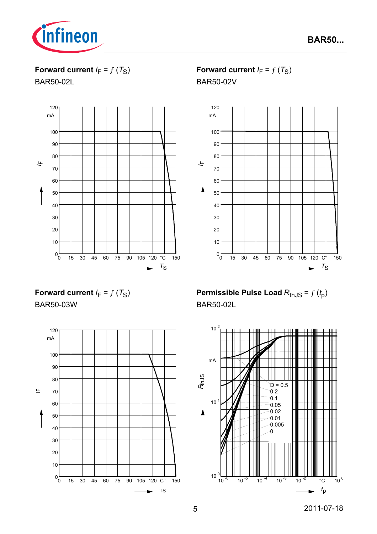

**Forward current**  $I_F = f(T_S)$ 

BAR50-02L



**Forward current**  $I_F = f(T_S)$ 

BAR50-02V



**Forward current**  $I_F = f(T_S)$ BAR50-03W



**Permissible Pulse Load**  $R_{th,JS} = f(t_p)$ BAR50-02L

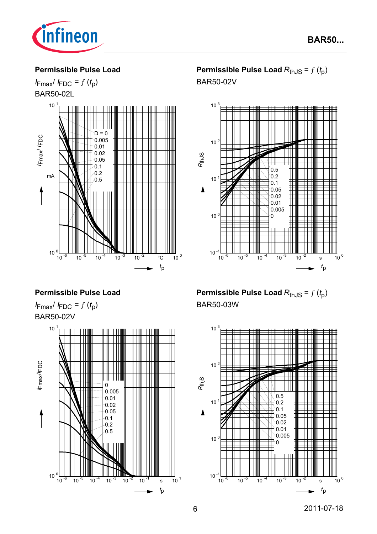

#### **Permissible Pulse Load**

 $I_{\text{Fmax}}/I_{\text{FDC}} = f(t_p)$ BAR50-02L



**Permissible Pulse Load**  $R_{th,JS} = f(t_0)$ BAR50-02V



#### **Permissible Pulse Load**

 $I_{\text{Fmax}}/I_{\text{FDC}} = f(t_p)$ BAR50-02V



**Permissible Pulse Load**  $R_{th,JS} = f(t_0)$ BAR50-03W

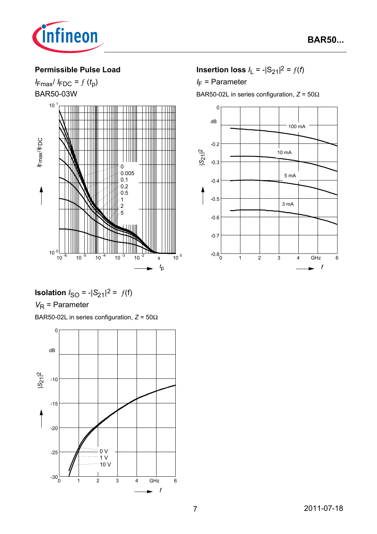

#### **Permissible Pulse Load**

 $I_{\text{Fmax}}/I_{\text{FDC}} = f(t_p)$ BAR50-03W



**Isolation**  $I_{SO} = -|S_{21}|^2 = f(f)$ 

## *V*<sub>R</sub> = Parameter

BAR50-02L in series configuration, *Z* = 50Ω



**Insertion loss**  $I_L = -|S_{21}|^2 = f(t)$ 

*I*<sub>F</sub> = Parameter

BAR50-02L in series configuration, *Z* = 50Ω

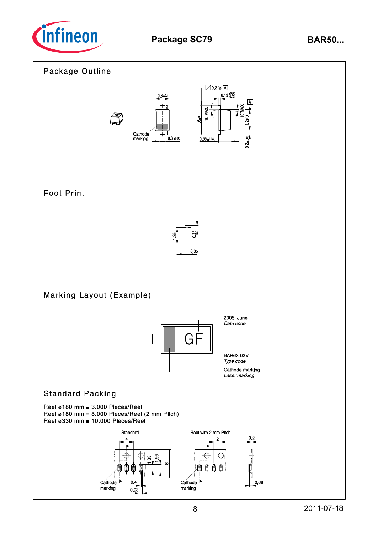

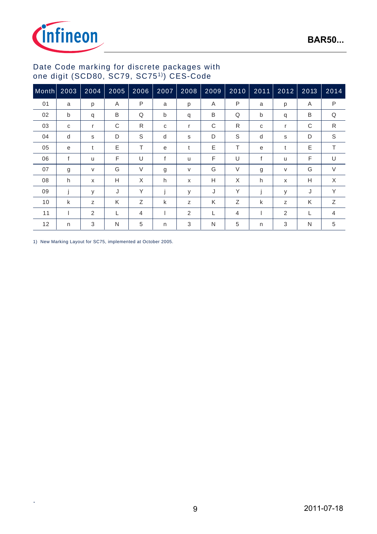



#### Date Code marking for discrete packages with one digit (SCD80, SC79, SC751)) CES-Code

| Month | 2003         | 2004           | 2005 | 2006        | 2007 | 2008     | $\overline{2009}$ | 2010     | $2011$       | 2012         | 2013 | 2014           |
|-------|--------------|----------------|------|-------------|------|----------|-------------------|----------|--------------|--------------|------|----------------|
| 01    | a            | p              | A    | P           | a    | p        | A                 | P        | a            | p            | Α    | $\mathsf{P}$   |
| 02    | $\mathsf{b}$ | q              | B    | Q           | b    | q        | B                 | Q        | $\mathsf{b}$ | q            | B    | Q              |
| 03    | C            | r              | C    | R           | C    | r        | C                 | R        | C            | r            | C    | $\mathsf{R}$   |
| 04    | d            | S              | D    | $\mathsf S$ | d    | s        | D                 | S        | d            | S            | D    | $\mathsf S$    |
| 05    | e            | t              | E    | T           | e    | t        | E                 | T        | e            | t            | Ε    | T.             |
| 06    | f            | u              | F    | U           | f    | <b>u</b> | F                 | U        | f            | $\mathsf{u}$ | F    | U              |
| 07    | g            | V              | G    | $\vee$      | g    | V        | G                 | $\vee$   | g            | V            | G    | $\vee$         |
| 08    | h            | X              | H    | X           | h    | X        | H                 | $\times$ | h            | X            | Н    | X              |
| 09    | j            | y              | J    | Y           |      | У        | J                 | Υ        | j            | y            | J    | Y              |
| 10    | k            | Z              | K    | Ζ           | k    | z        | K                 | Ζ        | k            | Z            | K    | Ζ              |
| 11    |              | $\overline{2}$ | L    | 4           |      | 2        |                   | 4        |              | 2            | L    | $\overline{4}$ |
| 12    | n            | 3              | N    | 5           | n    | 3        | N                 | 5        | n            | 3            | N    | 5              |

1) New Marking Layout for SC75, implemented at October 2005.

.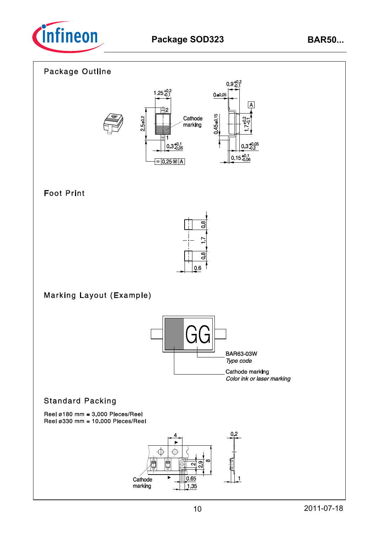

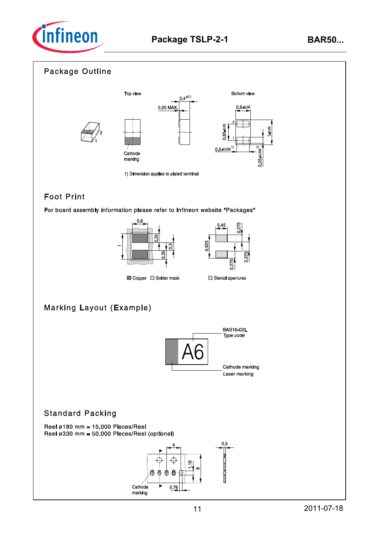



# **Foot Print**

For board assembly information please refer to Infineon website "Packages"





Copper Solder mask

# **Marking Layout (Example)**



### **Standard Packing**

Reel  $\varnothing$ 180 mm = 15.000 Pieces/Reel Reel ø330 mm = 50.000 Pieces/Reel (optional)